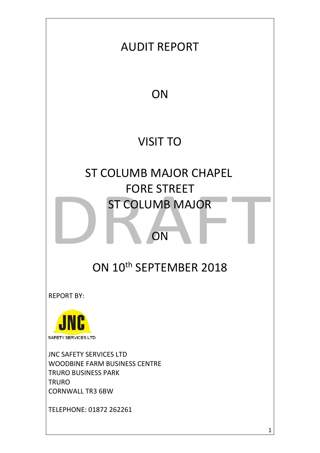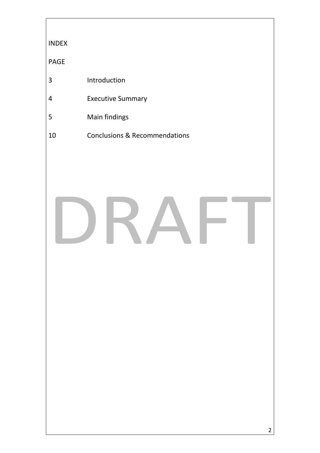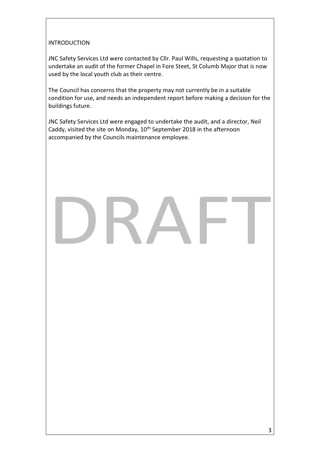# INTRODUCTION

JNC Safety Services Ltd were contacted by Cllr. Paul Wills, requesting a quotation to undertake an audit of the former Chapel in Fore Steet, St Columb Major that is now used by the local youth club as their centre.

The Council has concerns that the property may not currently be in a suitable condition for use, and needs an independent report before making a decision for the buildings future.

JNC Safety Services Ltd were engaged to undertake the audit, and a director, Neil Caddy, visited the site on Monday, 10<sup>th</sup> September 2018 in the afternoon accompanied by the Councils maintenance employee.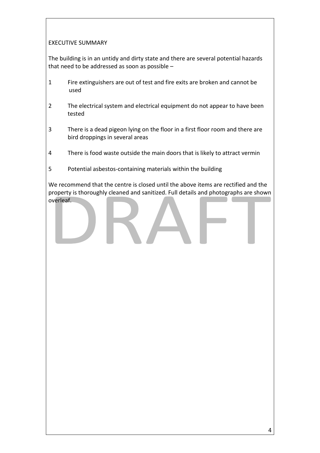## EXECUTIVE SUMMARY

The building is in an untidy and dirty state and there are several potential hazards that need to be addressed as soon as possible –

- 1 Fire extinguishers are out of test and fire exits are broken and cannot be used
- 2 The electrical system and electrical equipment do not appear to have been tested
- 3 There is a dead pigeon lying on the floor in a first floor room and there are bird droppings in several areas
- 4 There is food waste outside the main doors that is likely to attract vermin
- 5 Potential asbestos-containing materials within the building

We recommend that the centre is closed until the above items are rectified and the property is thoroughly cleaned and sanitized. Full details and photographs are shown overleaf.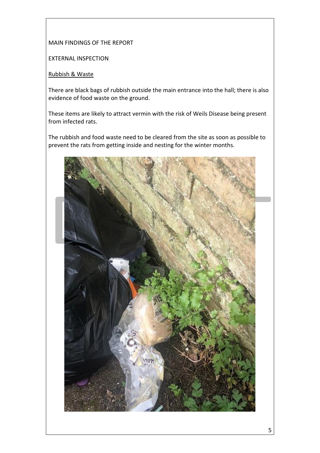## MAIN FINDINGS OF THE REPORT

EXTERNAL INSPECTION

## Rubbish & Waste

There are black bags of rubbish outside the main entrance into the hall; there is also evidence of food waste on the ground.

These items are likely to attract vermin with the risk of Weils Disease being present from infected rats.

The rubbish and food waste need to be cleared from the site as soon as possible to prevent the rats from getting inside and nesting for the winter months.

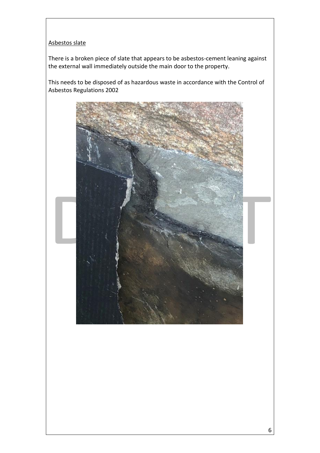## Asbestos slate

There is a broken piece of slate that appears to be asbestos-cement leaning against the external wall immediately outside the main door to the property.

This needs to be disposed of as hazardous waste in accordance with the Control of Asbestos Regulations 2002

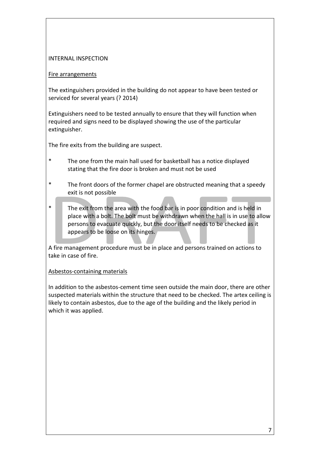#### INTERNAL INSPECTION

#### Fire arrangements

The extinguishers provided in the building do not appear to have been tested or serviced for several years (? 2014)

Extinguishers need to be tested annually to ensure that they will function when required and signs need to be displayed showing the use of the particular extinguisher.

The fire exits from the building are suspect.

- \* The one from the main hall used for basketball has a notice displayed stating that the fire door is broken and must not be used
- \* The front doors of the former chapel are obstructed meaning that a speedy exit is not possible
- The exit from the area with the food bar is in poor condition and is held in place with a bolt. The bolt must be withdrawn when the hall is in use to allow persons to evacuate quickly, but the door itself needs to be checked as it appears to be loose on its hinges.

A fire management procedure must be in place and persons trained on actions to take in case of fire.

# Asbestos-containing materials

In addition to the asbestos-cement time seen outside the main door, there are other suspected materials within the structure that need to be checked. The artex ceiling is likely to contain asbestos, due to the age of the building and the likely period in which it was applied.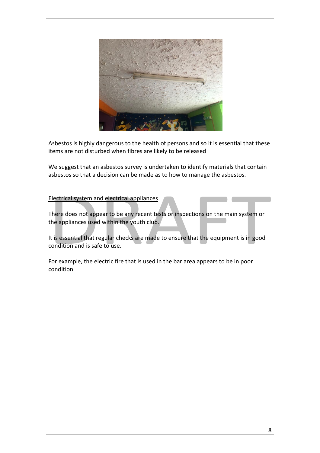

Asbestos is highly dangerous to the health of persons and so it is essential that these items are not disturbed when fibres are likely to be released

We suggest that an asbestos survey is undertaken to identify materials that contain asbestos so that a decision can be made as to how to manage the asbestos.

## Electrical system and electrical appliances

There does not appear to be any recent tests or inspections on the main system or the appliances used within the youth club.

It is essential that regular checks are made to ensure that the equipment is in good condition and is safe to use.

For example, the electric fire that is used in the bar area appears to be in poor condition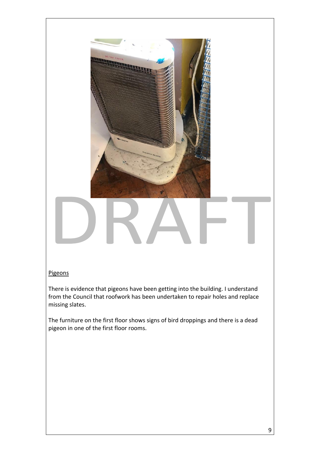

#### **Pigeons**

There is evidence that pigeons have been getting into the building. I understand from the Council that roofwork has been undertaken to repair holes and replace missing slates.

The furniture on the first floor shows signs of bird droppings and there is a dead pigeon in one of the first floor rooms.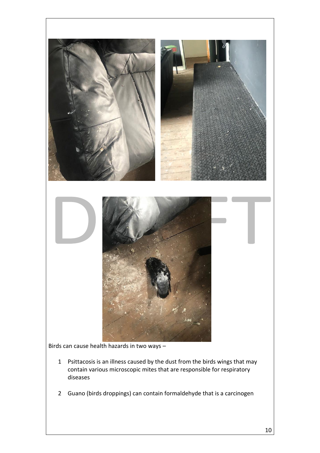